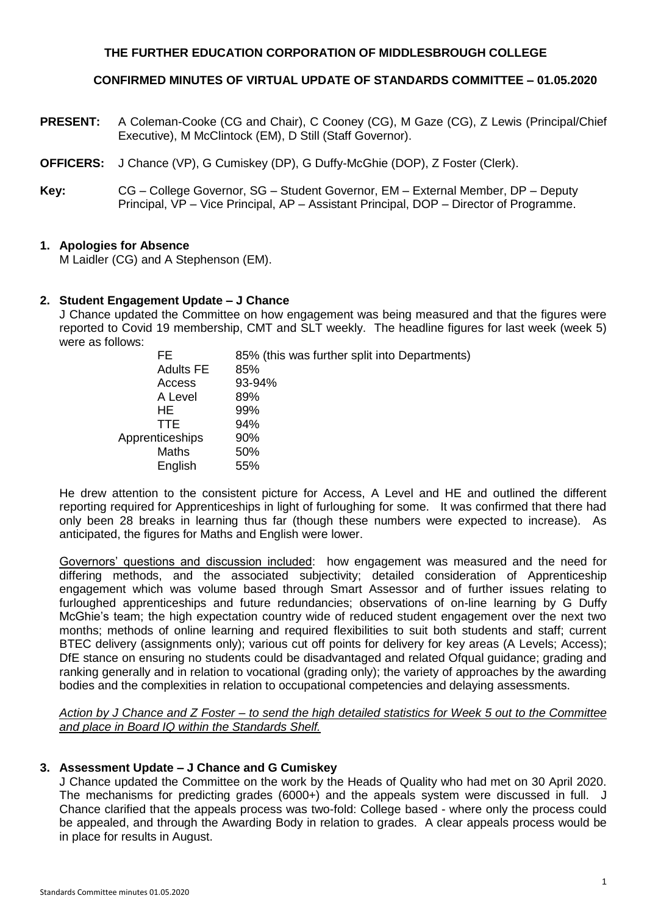## **THE FURTHER EDUCATION CORPORATION OF MIDDLESBROUGH COLLEGE**

## **CONFIRMED MINUTES OF VIRTUAL UPDATE OF STANDARDS COMMITTEE – 01.05.2020**

- **PRESENT:** A Coleman-Cooke (CG and Chair), C Cooney (CG), M Gaze (CG), Z Lewis (Principal/Chief Executive), M McClintock (EM), D Still (Staff Governor).
- **OFFICERS:** J Chance (VP), G Cumiskey (DP), G Duffy-McGhie (DOP), Z Foster (Clerk).
- **Key:** CG College Governor, SG Student Governor, EM External Member, DP Deputy Principal, VP – Vice Principal, AP – Assistant Principal, DOP – Director of Programme.

### **1. Apologies for Absence**

M Laidler (CG) and A Stephenson (EM).

### **2. Student Engagement Update – J Chance**

J Chance updated the Committee on how engagement was being measured and that the figures were reported to Covid 19 membership, CMT and SLT weekly. The headline figures for last week (week 5) were as follows:

| FF.              | 85% (this was further split into Departments) |
|------------------|-----------------------------------------------|
| <b>Adults FE</b> | 85%                                           |
| Access           | 93-94%                                        |
| A Level          | 89%                                           |
| HE               | 99%                                           |
| TTE.             | 94%                                           |
| Apprenticeships  | 90%                                           |
| <b>Maths</b>     | 50%                                           |
| English          | 55%                                           |
|                  |                                               |

He drew attention to the consistent picture for Access, A Level and HE and outlined the different reporting required for Apprenticeships in light of furloughing for some. It was confirmed that there had only been 28 breaks in learning thus far (though these numbers were expected to increase). As anticipated, the figures for Maths and English were lower.

Governors' questions and discussion included: how engagement was measured and the need for differing methods, and the associated subjectivity; detailed consideration of Apprenticeship engagement which was volume based through Smart Assessor and of further issues relating to furloughed apprenticeships and future redundancies; observations of on-line learning by G Duffy McGhie's team; the high expectation country wide of reduced student engagement over the next two months; methods of online learning and required flexibilities to suit both students and staff; current BTEC delivery (assignments only); various cut off points for delivery for key areas (A Levels; Access); DfE stance on ensuring no students could be disadvantaged and related Ofqual guidance; grading and ranking generally and in relation to vocational (grading only); the variety of approaches by the awarding bodies and the complexities in relation to occupational competencies and delaying assessments.

*Action by J Chance and Z Foster – to send the high detailed statistics for Week 5 out to the Committee and place in Board IQ within the Standards Shelf.*

### **3. Assessment Update – J Chance and G Cumiskey**

J Chance updated the Committee on the work by the Heads of Quality who had met on 30 April 2020. The mechanisms for predicting grades (6000+) and the appeals system were discussed in full. J Chance clarified that the appeals process was two-fold: College based - where only the process could be appealed, and through the Awarding Body in relation to grades. A clear appeals process would be in place for results in August.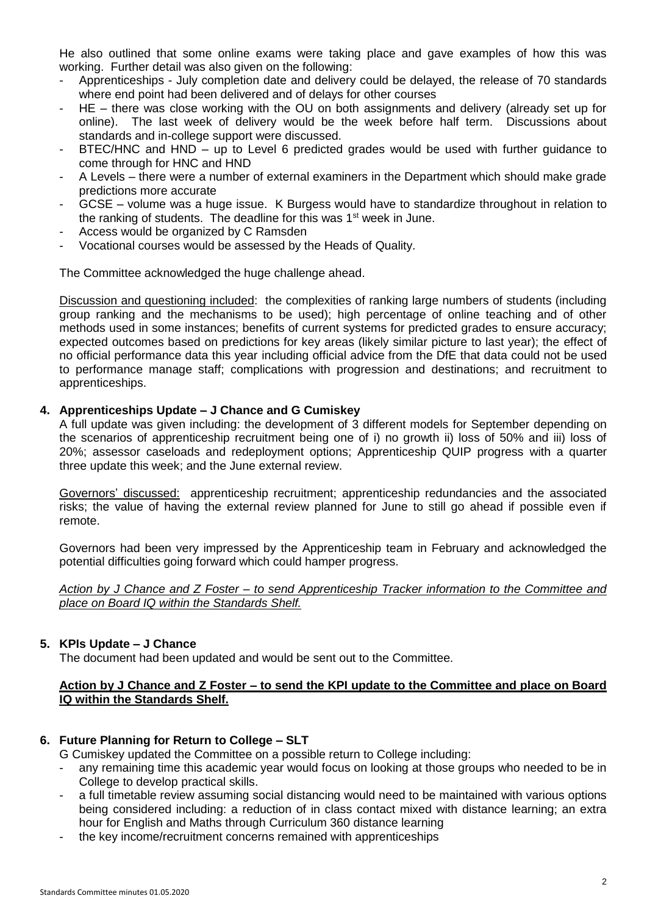He also outlined that some online exams were taking place and gave examples of how this was working. Further detail was also given on the following:

- Apprenticeships July completion date and delivery could be delayed, the release of 70 standards where end point had been delivered and of delays for other courses
- HE there was close working with the OU on both assignments and delivery (already set up for online). The last week of delivery would be the week before half term. Discussions about standards and in-college support were discussed.
- BTEC/HNC and HND up to Level 6 predicted grades would be used with further quidance to come through for HNC and HND
- A Levels there were a number of external examiners in the Department which should make grade predictions more accurate
- GCSE volume was a huge issue. K Burgess would have to standardize throughout in relation to the ranking of students. The deadline for this was  $1<sup>st</sup>$  week in June.
- Access would be organized by C Ramsden
- Vocational courses would be assessed by the Heads of Quality.

The Committee acknowledged the huge challenge ahead.

Discussion and questioning included: the complexities of ranking large numbers of students (including group ranking and the mechanisms to be used); high percentage of online teaching and of other methods used in some instances; benefits of current systems for predicted grades to ensure accuracy; expected outcomes based on predictions for key areas (likely similar picture to last year); the effect of no official performance data this year including official advice from the DfE that data could not be used to performance manage staff; complications with progression and destinations; and recruitment to apprenticeships.

# **4. Apprenticeships Update – J Chance and G Cumiskey**

A full update was given including: the development of 3 different models for September depending on the scenarios of apprenticeship recruitment being one of i) no growth ii) loss of 50% and iii) loss of 20%; assessor caseloads and redeployment options; Apprenticeship QUIP progress with a quarter three update this week; and the June external review.

Governors' discussed: apprenticeship recruitment; apprenticeship redundancies and the associated risks; the value of having the external review planned for June to still go ahead if possible even if remote.

Governors had been very impressed by the Apprenticeship team in February and acknowledged the potential difficulties going forward which could hamper progress.

*Action by J Chance and Z Foster – to send Apprenticeship Tracker information to the Committee and place on Board IQ within the Standards Shelf.*

## **5. KPIs Update – J Chance**

The document had been updated and would be sent out to the Committee.

# **Action by J Chance and Z Foster – to send the KPI update to the Committee and place on Board IQ within the Standards Shelf.**

# **6. Future Planning for Return to College – SLT**

G Cumiskey updated the Committee on a possible return to College including:

- any remaining time this academic year would focus on looking at those groups who needed to be in College to develop practical skills.
- a full timetable review assuming social distancing would need to be maintained with various options being considered including: a reduction of in class contact mixed with distance learning; an extra hour for English and Maths through Curriculum 360 distance learning
- the key income/recruitment concerns remained with apprenticeships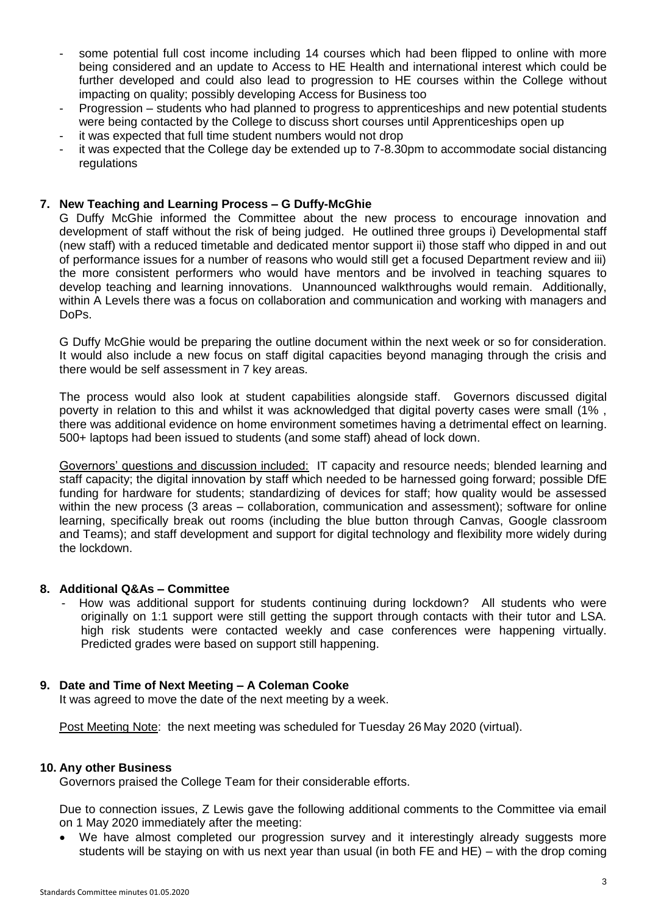- some potential full cost income including 14 courses which had been flipped to online with more being considered and an update to Access to HE Health and international interest which could be further developed and could also lead to progression to HE courses within the College without impacting on quality; possibly developing Access for Business too
- Progression students who had planned to progress to apprenticeships and new potential students were being contacted by the College to discuss short courses until Apprenticeships open up
- it was expected that full time student numbers would not drop
- it was expected that the College day be extended up to 7-8.30pm to accommodate social distancing regulations

## **7. New Teaching and Learning Process – G Duffy-McGhie**

G Duffy McGhie informed the Committee about the new process to encourage innovation and development of staff without the risk of being judged. He outlined three groups i) Developmental staff (new staff) with a reduced timetable and dedicated mentor support ii) those staff who dipped in and out of performance issues for a number of reasons who would still get a focused Department review and iii) the more consistent performers who would have mentors and be involved in teaching squares to develop teaching and learning innovations. Unannounced walkthroughs would remain. Additionally, within A Levels there was a focus on collaboration and communication and working with managers and DoPs.

G Duffy McGhie would be preparing the outline document within the next week or so for consideration. It would also include a new focus on staff digital capacities beyond managing through the crisis and there would be self assessment in 7 key areas.

The process would also look at student capabilities alongside staff. Governors discussed digital poverty in relation to this and whilst it was acknowledged that digital poverty cases were small (1% , there was additional evidence on home environment sometimes having a detrimental effect on learning. 500+ laptops had been issued to students (and some staff) ahead of lock down.

Governors' questions and discussion included: IT capacity and resource needs; blended learning and staff capacity; the digital innovation by staff which needed to be harnessed going forward; possible DfE funding for hardware for students; standardizing of devices for staff; how quality would be assessed within the new process (3 areas – collaboration, communication and assessment); software for online learning, specifically break out rooms (including the blue button through Canvas, Google classroom and Teams); and staff development and support for digital technology and flexibility more widely during the lockdown.

### **8. Additional Q&As – Committee**

How was additional support for students continuing during lockdown? All students who were originally on 1:1 support were still getting the support through contacts with their tutor and LSA. high risk students were contacted weekly and case conferences were happening virtually. Predicted grades were based on support still happening.

### **9. Date and Time of Next Meeting – A Coleman Cooke**

It was agreed to move the date of the next meeting by a week.

Post Meeting Note: the next meeting was scheduled for Tuesday 26 May 2020 (virtual).

### **10. Any other Business**

Governors praised the College Team for their considerable efforts.

Due to connection issues, Z Lewis gave the following additional comments to the Committee via email on 1 May 2020 immediately after the meeting:

 We have almost completed our progression survey and it interestingly already suggests more students will be staying on with us next year than usual (in both FE and HE) – with the drop coming